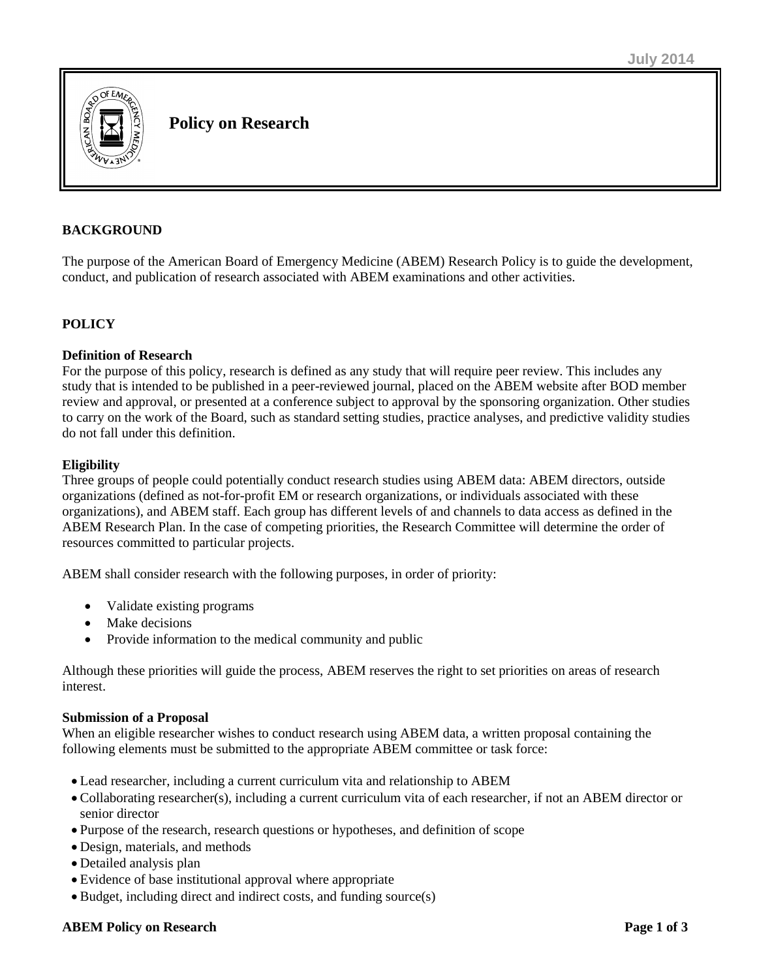

**Policy on Research**

# **BACKGROUND**

The purpose of the American Board of Emergency Medicine (ABEM) Research Policy is to guide the development, conduct, and publication of research associated with ABEM examinations and other activities.

## **POLICY**

## **Definition of Research**

For the purpose of this policy, research is defined as any study that will require peer review. This includes any study that is intended to be published in a peer-reviewed journal, placed on the ABEM website after BOD member review and approval, or presented at a conference subject to approval by the sponsoring organization. Other studies to carry on the work of the Board, such as standard setting studies, practice analyses, and predictive validity studies do not fall under this definition.

#### **Eligibility**

Three groups of people could potentially conduct research studies using ABEM data: ABEM directors, outside organizations (defined as not-for-profit EM or research organizations, or individuals associated with these organizations), and ABEM staff. Each group has different levels of and channels to data access as defined in the ABEM Research Plan. In the case of competing priorities, the Research Committee will determine the order of resources committed to particular projects.

ABEM shall consider research with the following purposes, in order of priority:

- Validate existing programs
- Make decisions
- Provide information to the medical community and public

Although these priorities will guide the process, ABEM reserves the right to set priorities on areas of research interest.

## **Submission of a Proposal**

When an eligible researcher wishes to conduct research using ABEM data, a written proposal containing the following elements must be submitted to the appropriate ABEM committee or task force:

- Lead researcher, including a current curriculum vita and relationship to ABEM
- Collaborating researcher(s), including a current curriculum vita of each researcher, if not an ABEM director or senior director
- Purpose of the research, research questions or hypotheses, and definition of scope
- Design, materials, and methods
- Detailed analysis plan
- Evidence of base institutional approval where appropriate
- Budget, including direct and indirect costs, and funding source(s)

#### **ABEM Policy on Research Page 1 of 3**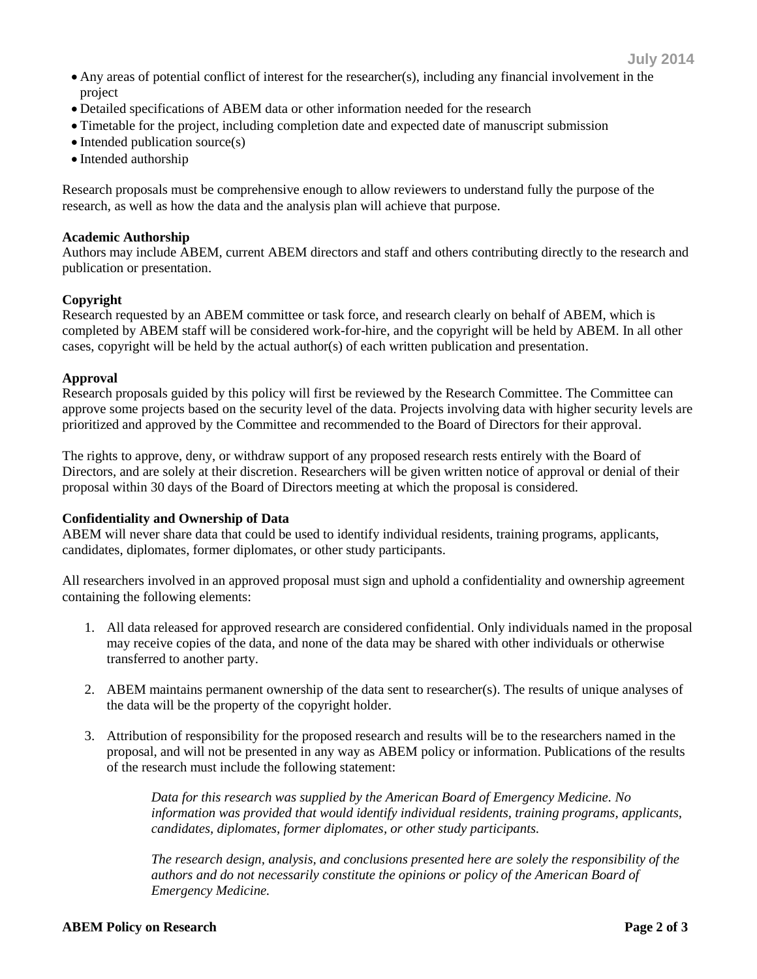- Any areas of potential conflict of interest for the researcher(s), including any financial involvement in the project
- Detailed specifications of ABEM data or other information needed for the research
- Timetable for the project, including completion date and expected date of manuscript submission
- $\bullet$  Intended publication source(s)
- Intended authorship

Research proposals must be comprehensive enough to allow reviewers to understand fully the purpose of the research, as well as how the data and the analysis plan will achieve that purpose.

## **Academic Authorship**

Authors may include ABEM, current ABEM directors and staff and others contributing directly to the research and publication or presentation.

## **Copyright**

Research requested by an ABEM committee or task force, and research clearly on behalf of ABEM, which is completed by ABEM staff will be considered work-for-hire, and the copyright will be held by ABEM. In all other cases, copyright will be held by the actual author(s) of each written publication and presentation.

## **Approval**

Research proposals guided by this policy will first be reviewed by the Research Committee. The Committee can approve some projects based on the security level of the data. Projects involving data with higher security levels are prioritized and approved by the Committee and recommended to the Board of Directors for their approval.

The rights to approve, deny, or withdraw support of any proposed research rests entirely with the Board of Directors, and are solely at their discretion. Researchers will be given written notice of approval or denial of their proposal within 30 days of the Board of Directors meeting at which the proposal is considered.

## **Confidentiality and Ownership of Data**

ABEM will never share data that could be used to identify individual residents, training programs, applicants, candidates, diplomates, former diplomates, or other study participants.

All researchers involved in an approved proposal must sign and uphold a confidentiality and ownership agreement containing the following elements:

- 1. All data released for approved research are considered confidential. Only individuals named in the proposal may receive copies of the data, and none of the data may be shared with other individuals or otherwise transferred to another party.
- 2. ABEM maintains permanent ownership of the data sent to researcher(s). The results of unique analyses of the data will be the property of the copyright holder.
- 3. Attribution of responsibility for the proposed research and results will be to the researchers named in the proposal, and will not be presented in any way as ABEM policy or information. Publications of the results of the research must include the following statement:

*Data for this research was supplied by the American Board of Emergency Medicine. No information was provided that would identify individual residents, training programs, applicants, candidates, diplomates, former diplomates, or other study participants.*

*The research design, analysis, and conclusions presented here are solely the responsibility of the authors and do not necessarily constitute the opinions or policy of the American Board of Emergency Medicine.*